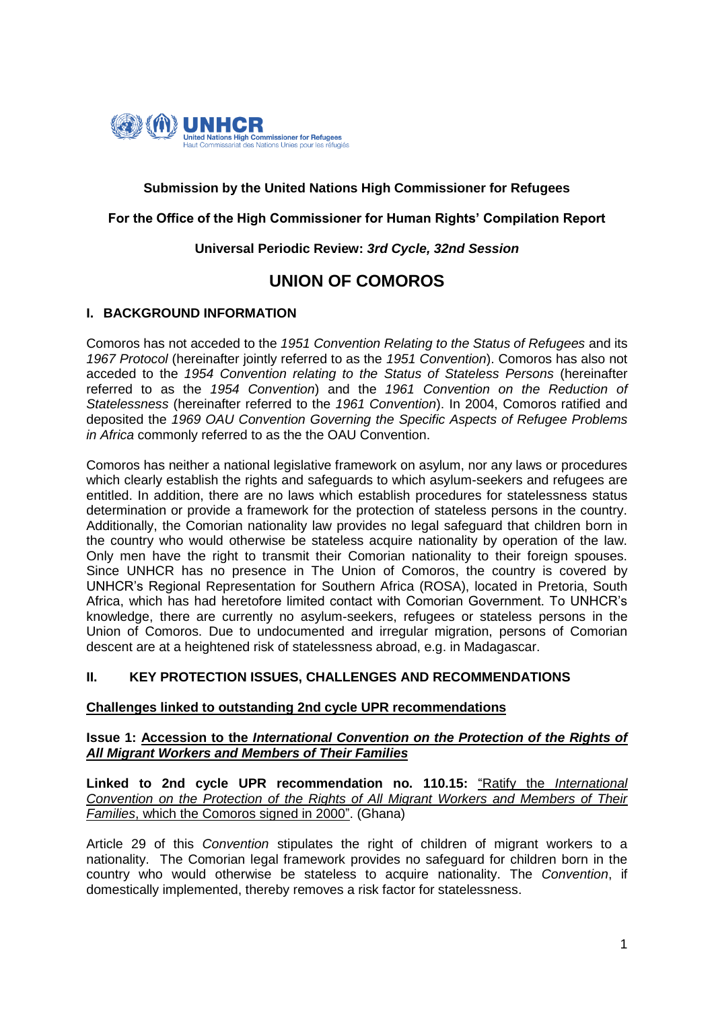

## **Submission by the United Nations High Commissioner for Refugees**

#### **For the Office of the High Commissioner for Human Rights' Compilation Report**

#### **Universal Periodic Review:** *3rd Cycle, 32nd Session*

# **UNION OF COMOROS**

#### **I. BACKGROUND INFORMATION**

Comoros has not acceded to the *1951 Convention Relating to the Status of Refugees* and its *1967 Protocol* (hereinafter jointly referred to as the *1951 Convention*). Comoros has also not acceded to the *1954 Convention relating to the Status of Stateless Persons* (hereinafter referred to as the *1954 Convention*) and the *1961 Convention on the Reduction of Statelessness* (hereinafter referred to the *1961 Convention*). In 2004, Comoros ratified and deposited the *1969 OAU Convention Governing the Specific Aspects of Refugee Problems in Africa* commonly referred to as the the OAU Convention.

Comoros has neither a national legislative framework on asylum, nor any laws or procedures which clearly establish the rights and safeguards to which asylum-seekers and refugees are entitled. In addition, there are no laws which establish procedures for statelessness status determination or provide a framework for the protection of stateless persons in the country. Additionally, the Comorian nationality law provides no legal safeguard that children born in the country who would otherwise be stateless acquire nationality by operation of the law. Only men have the right to transmit their Comorian nationality to their foreign spouses. Since UNHCR has no presence in The Union of Comoros, the country is covered by UNHCR's Regional Representation for Southern Africa (ROSA), located in Pretoria, South Africa, which has had heretofore limited contact with Comorian Government. To UNHCR's knowledge, there are currently no asylum-seekers, refugees or stateless persons in the Union of Comoros. Due to undocumented and irregular migration, persons of Comorian descent are at a heightened risk of statelessness abroad, e.g. in Madagascar.

## **II. KEY PROTECTION ISSUES, CHALLENGES AND RECOMMENDATIONS**

#### **Challenges linked to outstanding 2nd cycle UPR recommendations**

#### **Issue 1: Accession to the** *International Convention on the Protection of the Rights of All Migrant Workers and Members of Their Families*

**Linked to 2nd cycle UPR recommendation no. 110.15:** "Ratify the *International Convention on the Protection of the Rights of All Migrant Workers and Members of Their Families*, which the Comoros signed in 2000". (Ghana)

Article 29 of this *Convention* stipulates the right of children of migrant workers to a nationality. The Comorian legal framework provides no safeguard for children born in the country who would otherwise be stateless to acquire nationality. The *Convention*, if domestically implemented, thereby removes a risk factor for statelessness.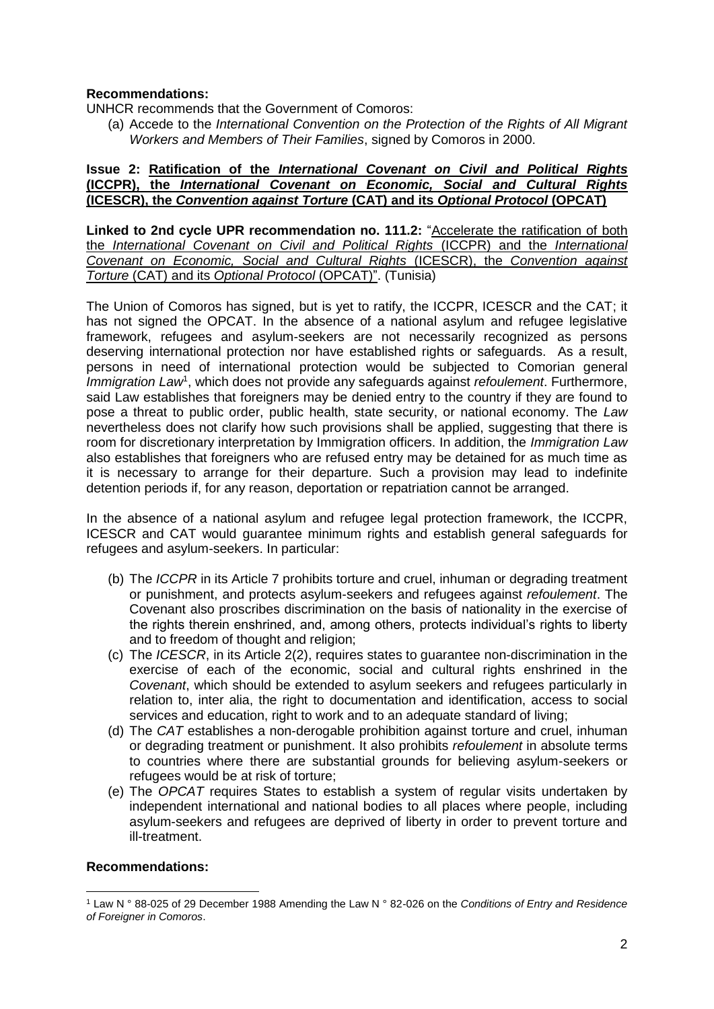## **Recommendations:**

UNHCR recommends that the Government of Comoros:

(a) Accede to the *International Convention on the Protection of the Rights of All Migrant Workers and Members of Their Families*, signed by Comoros in 2000.

#### **Issue 2: Ratification of the** *International Covenant on Civil and Political Rights* **(ICCPR), the** *International Covenant on Economic, Social and Cultural Rights* **(ICESCR), the** *Convention against Torture* **(CAT) and its** *Optional Protocol* **(OPCAT)**

**Linked to 2nd cycle UPR recommendation no. 111.2:** "Accelerate the ratification of both the *International Covenant on Civil and Political Rights* (ICCPR) and the *International Covenant on Economic, Social and Cultural Rights* (ICESCR), the *Convention against Torture* (CAT) and its *Optional Protocol* (OPCAT)". (Tunisia)

The Union of Comoros has signed, but is yet to ratify, the ICCPR, ICESCR and the CAT; it has not signed the OPCAT. In the absence of a national asylum and refugee legislative framework, refugees and asylum-seekers are not necessarily recognized as persons deserving international protection nor have established rights or safeguards. As a result, persons in need of international protection would be subjected to Comorian general Immigration Law<sup>1</sup>, which does not provide any safeguards against *refoulement*. Furthermore, said Law establishes that foreigners may be denied entry to the country if they are found to pose a threat to public order, public health, state security, or national economy. The *Law* nevertheless does not clarify how such provisions shall be applied, suggesting that there is room for discretionary interpretation by Immigration officers. In addition, the *Immigration Law* also establishes that foreigners who are refused entry may be detained for as much time as it is necessary to arrange for their departure. Such a provision may lead to indefinite detention periods if, for any reason, deportation or repatriation cannot be arranged.

In the absence of a national asylum and refugee legal protection framework, the ICCPR, ICESCR and CAT would guarantee minimum rights and establish general safeguards for refugees and asylum-seekers. In particular:

- (b) The *ICCPR* in its Article 7 prohibits torture and cruel, inhuman or degrading treatment or punishment, and protects asylum-seekers and refugees against *refoulement*. The Covenant also proscribes discrimination on the basis of nationality in the exercise of the rights therein enshrined, and, among others, protects individual's rights to liberty and to freedom of thought and religion;
- (c) The *ICESCR*, in its Article 2(2), requires states to guarantee non-discrimination in the exercise of each of the economic, social and cultural rights enshrined in the *Covenant*, which should be extended to asylum seekers and refugees particularly in relation to, inter alia, the right to documentation and identification, access to social services and education, right to work and to an adequate standard of living;
- (d) The *CAT* establishes a non-derogable prohibition against torture and cruel, inhuman or degrading treatment or punishment. It also prohibits *refoulement* in absolute terms to countries where there are substantial grounds for believing asylum-seekers or refugees would be at risk of torture;
- (e) The *OPCAT* requires States to establish a system of regular visits undertaken by independent international and national bodies to all places where people, including asylum-seekers and refugees are deprived of liberty in order to prevent torture and ill-treatment.

## **Recommendations:**

<sup>1</sup> <sup>1</sup> Law N ° 88-025 of 29 December 1988 Amending the Law N ° 82-026 on the *Conditions of Entry and Residence of Foreigner in Comoros*.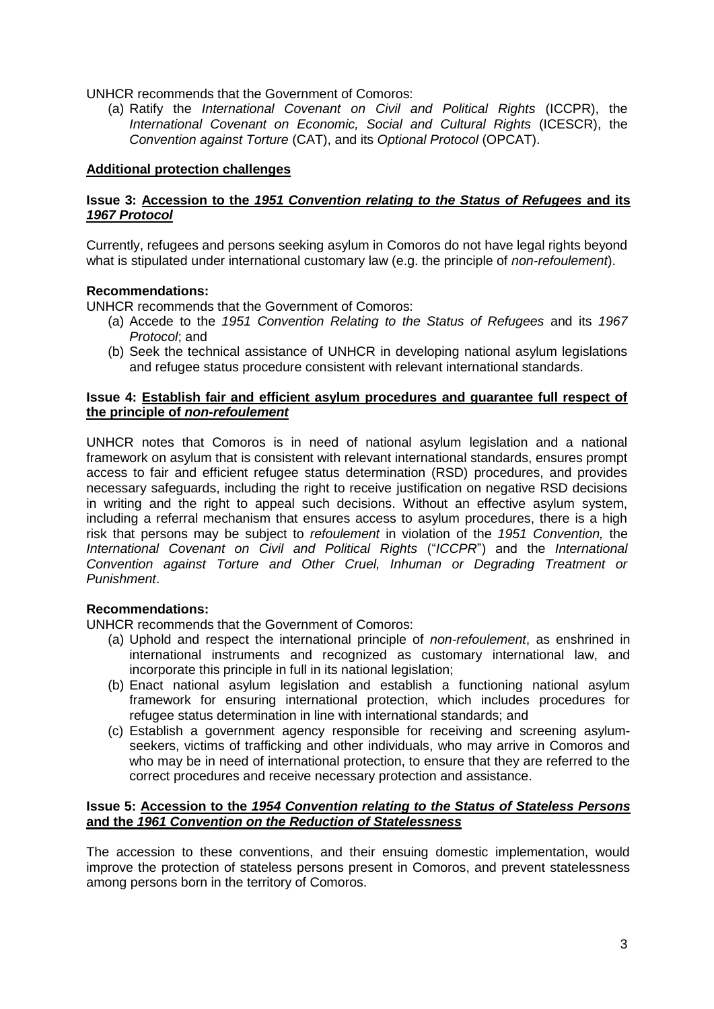UNHCR recommends that the Government of Comoros:

(a) Ratify the *International Covenant on Civil and Political Rights* (ICCPR), the *International Covenant on Economic, Social and Cultural Rights* (ICESCR), the *Convention against Torture* (CAT), and its *Optional Protocol* (OPCAT).

## **Additional protection challenges**

#### **Issue 3: Accession to the** *1951 Convention relating to the Status of Refugees* **and its**  *1967 Protocol*

Currently, refugees and persons seeking asylum in Comoros do not have legal rights beyond what is stipulated under international customary law (e.g. the principle of *non-refoulement*).

#### **Recommendations:**

UNHCR recommends that the Government of Comoros:

- (a) Accede to the *1951 Convention Relating to the Status of Refugees* and its *1967 Protocol*; and
- (b) Seek the technical assistance of UNHCR in developing national asylum legislations and refugee status procedure consistent with relevant international standards.

#### **Issue 4: Establish fair and efficient asylum procedures and guarantee full respect of the principle of** *non-refoulement*

UNHCR notes that Comoros is in need of national asylum legislation and a national framework on asylum that is consistent with relevant international standards, ensures prompt access to fair and efficient refugee status determination (RSD) procedures, and provides necessary safeguards, including the right to receive justification on negative RSD decisions in writing and the right to appeal such decisions. Without an effective asylum system, including a referral mechanism that ensures access to asylum procedures, there is a high risk that persons may be subject to *refoulement* in violation of the *1951 Convention,* the *International Covenant on Civil and Political Rights* ("*ICCPR*") and the *International Convention against Torture and Other Cruel, Inhuman or Degrading Treatment or Punishment*.

## **Recommendations:**

UNHCR recommends that the Government of Comoros:

- (a) Uphold and respect the international principle of *non-refoulement*, as enshrined in international instruments and recognized as customary international law, and incorporate this principle in full in its national legislation;
- (b) Enact national asylum legislation and establish a functioning national asylum framework for ensuring international protection, which includes procedures for refugee status determination in line with international standards; and
- (c) Establish a government agency responsible for receiving and screening asylumseekers, victims of trafficking and other individuals, who may arrive in Comoros and who may be in need of international protection, to ensure that they are referred to the correct procedures and receive necessary protection and assistance.

#### **Issue 5: Accession to the** *1954 Convention relating to the Status of Stateless Persons* **and the** *1961 Convention on the Reduction of Statelessness*

The accession to these conventions, and their ensuing domestic implementation, would improve the protection of stateless persons present in Comoros, and prevent statelessness among persons born in the territory of Comoros.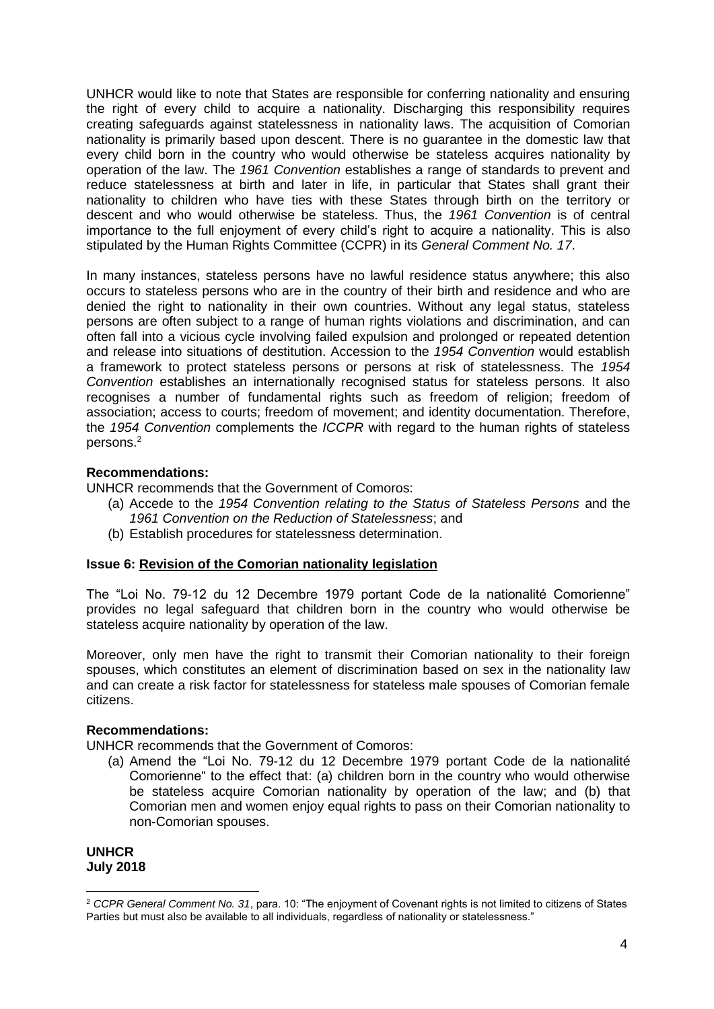UNHCR would like to note that States are responsible for conferring nationality and ensuring the right of every child to acquire a nationality. Discharging this responsibility requires creating safeguards against statelessness in nationality laws. The acquisition of Comorian nationality is primarily based upon descent. There is no guarantee in the domestic law that every child born in the country who would otherwise be stateless acquires nationality by operation of the law. The *1961 Convention* establishes a range of standards to prevent and reduce statelessness at birth and later in life, in particular that States shall grant their nationality to children who have ties with these States through birth on the territory or descent and who would otherwise be stateless. Thus, the *1961 Convention* is of central importance to the full enjoyment of every child's right to acquire a nationality. This is also stipulated by the Human Rights Committee (CCPR) in its *General Comment No. 17*.

In many instances, stateless persons have no lawful residence status anywhere; this also occurs to stateless persons who are in the country of their birth and residence and who are denied the right to nationality in their own countries. Without any legal status, stateless persons are often subject to a range of human rights violations and discrimination, and can often fall into a vicious cycle involving failed expulsion and prolonged or repeated detention and release into situations of destitution. Accession to the *1954 Convention* would establish a framework to protect stateless persons or persons at risk of statelessness. The *1954 Convention* establishes an internationally recognised status for stateless persons. It also recognises a number of fundamental rights such as freedom of religion; freedom of association; access to courts; freedom of movement; and identity documentation. Therefore, the *1954 Convention* complements the *ICCPR* with regard to the human rights of stateless persons.<sup>2</sup>

## **Recommendations:**

UNHCR recommends that the Government of Comoros:

- (a) Accede to the *1954 Convention relating to the Status of Stateless Persons* and the *1961 Convention on the Reduction of Statelessness*; and
- (b) Establish procedures for statelessness determination.

## **Issue 6: Revision of the Comorian nationality legislation**

The "Loi No. 79-12 du 12 Decembre 1979 portant Code de la nationalité Comorienne" provides no legal safeguard that children born in the country who would otherwise be stateless acquire nationality by operation of the law.

Moreover, only men have the right to transmit their Comorian nationality to their foreign spouses, which constitutes an element of discrimination based on sex in the nationality law and can create a risk factor for statelessness for stateless male spouses of Comorian female citizens.

## **Recommendations:**

UNHCR recommends that the Government of Comoros:

(a) Amend the "Loi No. 79-12 du 12 Decembre 1979 portant Code de la nationalité Comorienne" to the effect that: (a) children born in the country who would otherwise be stateless acquire Comorian nationality by operation of the law; and (b) that Comorian men and women enjoy equal rights to pass on their Comorian nationality to non-Comorian spouses.

**UNHCR July 2018**

<sup>1</sup> <sup>2</sup> *CCPR General Comment No. 31*, para. 10: "The enjoyment of Covenant rights is not limited to citizens of States Parties but must also be available to all individuals, regardless of nationality or statelessness."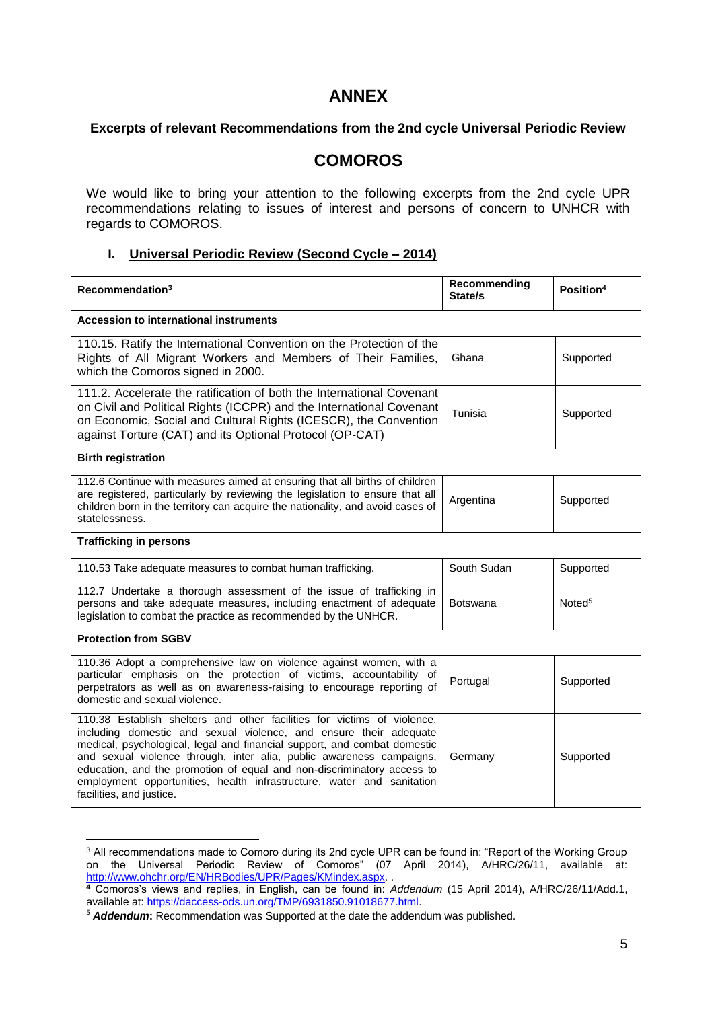## **ANNEX**

#### **Excerpts of relevant Recommendations from the 2nd cycle Universal Periodic Review**

## **COMOROS**

We would like to bring your attention to the following excerpts from the 2nd cycle UPR recommendations relating to issues of interest and persons of concern to UNHCR with regards to COMOROS.

#### **I. Universal Periodic Review (Second Cycle – 2014)**

| Recommendation <sup>3</sup>                                                                                                                                                                                                                                                                                                                                                                                                                                                     | Recommending<br>State/s | Position <sup>4</sup> |  |
|---------------------------------------------------------------------------------------------------------------------------------------------------------------------------------------------------------------------------------------------------------------------------------------------------------------------------------------------------------------------------------------------------------------------------------------------------------------------------------|-------------------------|-----------------------|--|
| Accession to international instruments                                                                                                                                                                                                                                                                                                                                                                                                                                          |                         |                       |  |
| 110.15. Ratify the International Convention on the Protection of the<br>Rights of All Migrant Workers and Members of Their Families,<br>which the Comoros signed in 2000.                                                                                                                                                                                                                                                                                                       | Ghana                   | Supported             |  |
| 111.2. Accelerate the ratification of both the International Covenant<br>on Civil and Political Rights (ICCPR) and the International Covenant<br>on Economic, Social and Cultural Rights (ICESCR), the Convention<br>against Torture (CAT) and its Optional Protocol (OP-CAT)                                                                                                                                                                                                   | Tunisia                 | Supported             |  |
| <b>Birth registration</b>                                                                                                                                                                                                                                                                                                                                                                                                                                                       |                         |                       |  |
| 112.6 Continue with measures aimed at ensuring that all births of children<br>are registered, particularly by reviewing the legislation to ensure that all<br>children born in the territory can acquire the nationality, and avoid cases of<br>statelessness.                                                                                                                                                                                                                  | Argentina               | Supported             |  |
| <b>Trafficking in persons</b>                                                                                                                                                                                                                                                                                                                                                                                                                                                   |                         |                       |  |
| 110.53 Take adequate measures to combat human trafficking.                                                                                                                                                                                                                                                                                                                                                                                                                      | South Sudan             | Supported             |  |
| 112.7 Undertake a thorough assessment of the issue of trafficking in<br>persons and take adequate measures, including enactment of adequate<br>legislation to combat the practice as recommended by the UNHCR.                                                                                                                                                                                                                                                                  | <b>Botswana</b>         | Noted <sup>5</sup>    |  |
| <b>Protection from SGBV</b>                                                                                                                                                                                                                                                                                                                                                                                                                                                     |                         |                       |  |
| 110.36 Adopt a comprehensive law on violence against women, with a<br>particular emphasis on the protection of victims, accountability of<br>perpetrators as well as on awareness-raising to encourage reporting of<br>domestic and sexual violence.                                                                                                                                                                                                                            | Portugal                | Supported             |  |
| 110.38 Establish shelters and other facilities for victims of violence,<br>including domestic and sexual violence, and ensure their adequate<br>medical, psychological, legal and financial support, and combat domestic<br>and sexual violence through, inter alia, public awareness campaigns,<br>education, and the promotion of equal and non-discriminatory access to<br>employment opportunities, health infrastructure, water and sanitation<br>facilities, and justice. | Germany                 | Supported             |  |

 $3$  All recommendations made to Comoro during its 2nd cycle UPR can be found in: "Report of the Working Group on the Universal Periodic Review of Comoros" (07 April 2014), A/HRC/26/11, available at: [http://www.ohchr.org/EN/HRBodies/UPR/Pages/KMindex.aspx.](http://www.ohchr.org/EN/HRBodies/UPR/Pages/KMindex.aspx)..

**.** 

**<sup>4</sup>** Comoros's views and replies, in English, can be found in: *Addendum* (15 April 2014), A/HRC/26/11/Add.1, available at: [https://daccess-ods.un.org/TMP/6931850.91018677.html.](https://daccess-ods.un.org/TMP/6931850.91018677.html)

<sup>5</sup> *Addendum***:** Recommendation was Supported at the date the addendum was published.